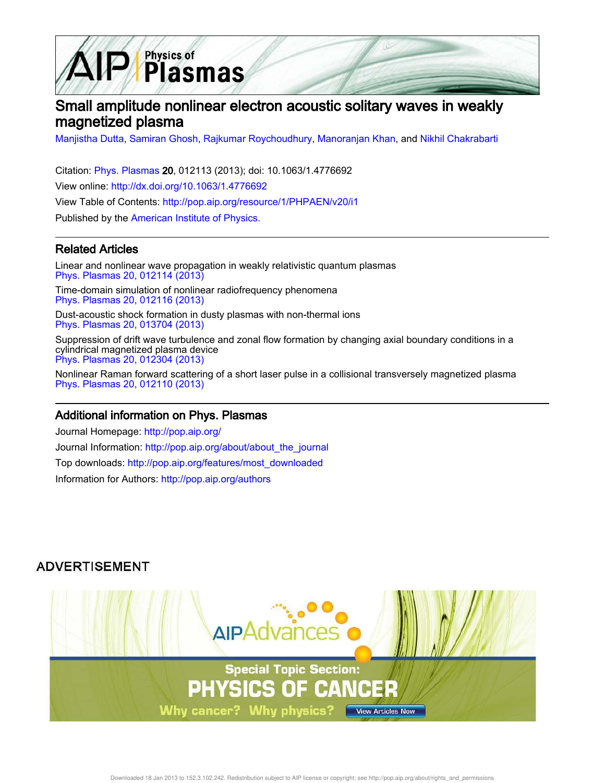

# Small amplitude nonlinear electron acoustic solitary waves in weakly magnetized plasma

Manjistha Dutta, Samiran Ghosh, Rajkumar Roychoudhury, Manoranjan Khan, and Nikhil Chakrabarti

Citation: Phys. Plasmas 20, 012113 (2013); doi: 10.1063/1.4776692 View online: http://dx.doi.org/10.1063/1.4776692 View Table of Contents: http://pop.aip.org/resource/1/PHPAEN/v20/i1 Published by the American Institute of Physics.

### Related Articles

Linear and nonlinear wave propagation in weakly relativistic quantum plasmas Phys. Plasmas 20, 012114 (2013)

Time-domain simulation of nonlinear radiofrequency phenomena Phys. Plasmas 20, 012116 (2013)

Dust-acoustic shock formation in dusty plasmas with non-thermal ions Phys. Plasmas 20, 013704 (2013)

Suppression of drift wave turbulence and zonal flow formation by changing axial boundary conditions in a cylindrical magnetized plasma device Phys. Plasmas 20, 012304 (2013)

Nonlinear Raman forward scattering of a short laser pulse in a collisional transversely magnetized plasma Phys. Plasmas 20, 012110 (2013)

### Additional information on Phys. Plasmas

Journal Homepage: http://pop.aip.org/ Journal Information: http://pop.aip.org/about/about\_the\_journal Top downloads: http://pop.aip.org/features/most\_downloaded Information for Authors: http://pop.aip.org/authors

## **ADVERTISEMENT**

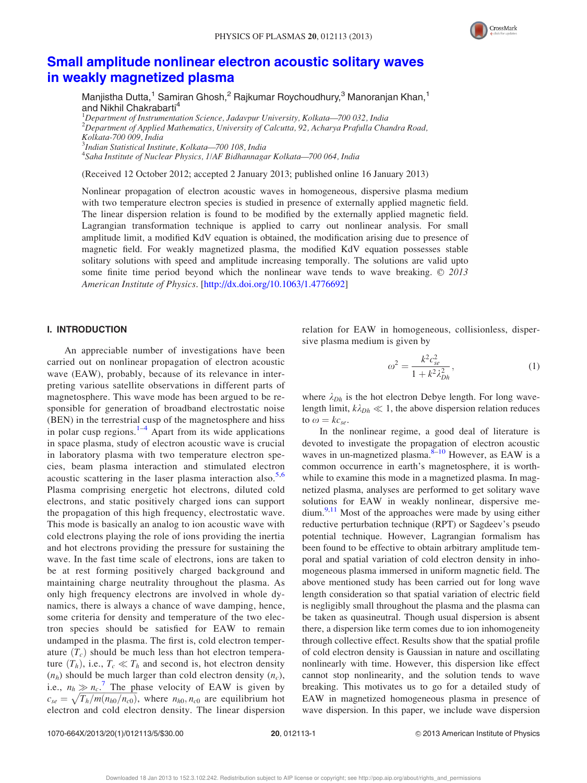

## Small amplitude nonlinear electron acoustic solitary waves in weakly magnetized plasma

Manjistha Dutta,<sup>1</sup> Samiran Ghosh,<sup>2</sup> Rajkumar Roychoudhury,<sup>3</sup> Manoranjan Khan,<sup>1</sup> and Nikhil Chakrabarti<sup>4</sup>

<sup>1</sup>Department of Instrumentation Science, Jadavpur University, Kolkata—700 032, India  $2$ Department of Applied Mathematics, University of Calcutta, 92, Acharya Prafulla Chandra Road, Kolkata-700 009, India 3 Indian Statistical Institute, Kolkata—700 108, India

<sup>4</sup>Saha Institute of Nuclear Physics, 1/AF Bidhannagar Kolkata-700 064, India

(Received 12 October 2012; accepted 2 January 2013; published online 16 January 2013)

Nonlinear propagation of electron acoustic waves in homogeneous, dispersive plasma medium with two temperature electron species is studied in presence of externally applied magnetic field. The linear dispersion relation is found to be modified by the externally applied magnetic field. Lagrangian transformation technique is applied to carry out nonlinear analysis. For small amplitude limit, a modified KdV equation is obtained, the modification arising due to presence of magnetic field. For weakly magnetized plasma, the modified KdV equation possesses stable solitary solutions with speed and amplitude increasing temporally. The solutions are valid upto some finite time period beyond which the nonlinear wave tends to wave breaking.  $\odot$  2013 American Institute of Physics. [http://dx.doi.org/10.1063/1.4776692]

### I. INTRODUCTION

An appreciable number of investigations have been carried out on nonlinear propagation of electron acoustic wave (EAW), probably, because of its relevance in interpreting various satellite observations in different parts of magnetosphere. This wave mode has been argued to be responsible for generation of broadband electrostatic noise (BEN) in the terrestrial cusp of the magnetosphere and hiss in polar cusp regions. $1-4$  Apart from its wide applications in space plasma, study of electron acoustic wave is crucial in laboratory plasma with two temperature electron species, beam plasma interaction and stimulated electron acoustic scattering in the laser plasma interaction also. $5.6$ Plasma comprising energetic hot electrons, diluted cold electrons, and static positively charged ions can support the propagation of this high frequency, electrostatic wave. This mode is basically an analog to ion acoustic wave with cold electrons playing the role of ions providing the inertia and hot electrons providing the pressure for sustaining the wave. In the fast time scale of electrons, ions are taken to be at rest forming positively charged background and maintaining charge neutrality throughout the plasma. As only high frequency electrons are involved in whole dynamics, there is always a chance of wave damping, hence, some criteria for density and temperature of the two electron species should be satisfied for EAW to remain undamped in the plasma. The first is, cold electron temperature  $(T_c)$  should be much less than hot electron temperature  $(T_h)$ , i.e.,  $T_c \ll T_h$  and second is, hot electron density  $(n_h)$  should be much larger than cold electron density  $(n_c)$ , i.e.,  $n_h \gg n_c$ .<sup>7</sup> The phase velocity of EAW is given by  $c_{se} = \sqrt{T_h/m(n_{h0}/n_{c0})}$ , where  $n_{h0}, n_{c0}$  are equilibrium hot electron and cold electron density. The linear dispersion relation for EAW in homogeneous, collisionless, dispersive plasma medium is given by

$$
\omega^2 = \frac{k^2 c_{se}^2}{1 + k^2 \lambda_{Dh}^2},\tag{1}
$$

where  $\lambda_{Dh}$  is the hot electron Debye length. For long wavelength limit,  $k\lambda_{Dh} \ll 1$ , the above dispersion relation reduces to  $\omega = k c_{se}$ .

In the nonlinear regime, a good deal of literature is devoted to investigate the propagation of electron acoustic waves in un-magnetized plasma. $8-10$  However, as EAW is a common occurrence in earth's magnetosphere, it is worthwhile to examine this mode in a magnetized plasma. In magnetized plasma, analyses are performed to get solitary wave solutions for EAW in weakly nonlinear, dispersive medium.<sup>9,11</sup> Most of the approaches were made by using either reductive perturbation technique (RPT) or Sagdeev's pseudo potential technique. However, Lagrangian formalism has been found to be effective to obtain arbitrary amplitude temporal and spatial variation of cold electron density in inhomogeneous plasma immersed in uniform magnetic field. The above mentioned study has been carried out for long wave length consideration so that spatial variation of electric field is negligibly small throughout the plasma and the plasma can be taken as quasineutral. Though usual dispersion is absent there, a dispersion like term comes due to ion inhomogeneity through collective effect. Results show that the spatial profile of cold electron density is Gaussian in nature and oscillating nonlinearly with time. However, this dispersion like effect cannot stop nonlinearity, and the solution tends to wave breaking. This motivates us to go for a detailed study of EAW in magnetized homogeneous plasma in presence of wave dispersion. In this paper, we include wave dispersion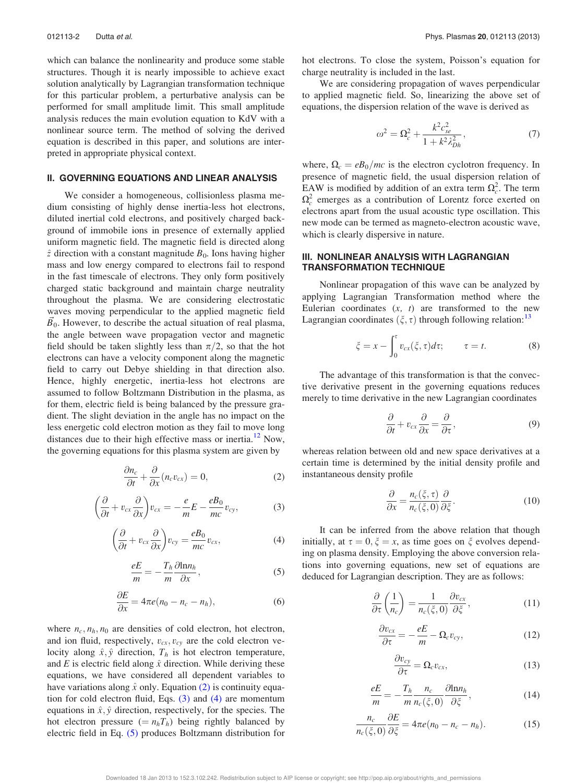which can balance the nonlinearity and produce some stable structures. Though it is nearly impossible to achieve exact solution analytically by Lagrangian transformation technique for this particular problem, a perturbative analysis can be performed for small amplitude limit. This small amplitude analysis reduces the main evolution equation to KdV with a nonlinear source term. The method of solving the derived equation is described in this paper, and solutions are interpreted in appropriate physical context.

#### II. GOVERNING EQUATIONS AND LINEAR ANALYSIS

We consider a homogeneous, collisionless plasma medium consisting of highly dense inertia-less hot electrons, diluted inertial cold electrons, and positively charged background of immobile ions in presence of externally applied uniform magnetic field. The magnetic field is directed along  $\hat{z}$  direction with a constant magnitude  $B_0$ . Ions having higher mass and low energy compared to electrons fail to respond in the fast timescale of electrons. They only form positively charged static background and maintain charge neutrality throughout the plasma. We are considering electrostatic waves moving perpendicular to the applied magnetic field  $B_0$ . However, to describe the actual situation of real plasma, the angle between wave propagation vector and magnetic field should be taken slightly less than  $\pi/2$ , so that the hot electrons can have a velocity component along the magnetic field to carry out Debye shielding in that direction also. Hence, highly energetic, inertia-less hot electrons are assumed to follow Boltzmann Distribution in the plasma, as for them, electric field is being balanced by the pressure gradient. The slight deviation in the angle has no impact on the less energetic cold electron motion as they fail to move long distances due to their high effective mass or inertia.<sup>12</sup> Now, the governing equations for this plasma system are given by

$$
\frac{\partial n_c}{\partial t} + \frac{\partial}{\partial x} (n_c v_{cx}) = 0, \tag{2}
$$

$$
\left(\frac{\partial}{\partial t} + v_{cx}\frac{\partial}{\partial x}\right)v_{cx} = -\frac{e}{m}E - \frac{eB_0}{mc}v_{cy},\tag{3}
$$

$$
\left(\frac{\partial}{\partial t} + v_{cx}\frac{\partial}{\partial x}\right)v_{cy} = \frac{eB_0}{mc}v_{cx},\tag{4}
$$

$$
\frac{eE}{m} = -\frac{T_h}{m} \frac{\partial \ln n_h}{\partial x},\tag{5}
$$

$$
\frac{\partial E}{\partial x} = 4\pi e(n_0 - n_c - n_h),\tag{6}
$$

where  $n_c$ ,  $n_h$ ,  $n_0$  are densities of cold electron, hot electron, and ion fluid, respectively,  $v_{cx}$ ,  $v_{cy}$  are the cold electron velocity along  $\hat{x}, \hat{y}$  direction,  $T_h$  is hot electron temperature, and E is electric field along  $\hat{x}$  direction. While deriving these equations, we have considered all dependent variables to have variations along  $\hat{x}$  only. Equation (2) is continuity equation for cold electron fluid, Eqs. (3) and (4) are momentum equations in  $\hat{x}, \hat{y}$  direction, respectively, for the species. The hot electron pressure  $(= n_hT_h)$  being rightly balanced by electric field in Eq. (5) produces Boltzmann distribution for hot electrons. To close the system, Poisson's equation for charge neutrality is included in the last.

We are considering propagation of waves perpendicular to applied magnetic field. So, linearizing the above set of equations, the dispersion relation of the wave is derived as

$$
\omega^2 = \Omega_c^2 + \frac{k^2 c_{se}^2}{1 + k^2 \lambda_{Dh}^2},\tag{7}
$$

where,  $\Omega_c = eB_0/mc$  is the electron cyclotron frequency. In presence of magnetic field, the usual dispersion relation of EAW is modified by addition of an extra term  $\Omega_c^2$ . The term  $\Omega_c^2$  emerges as a contribution of Lorentz force exerted on electrons apart from the usual acoustic type oscillation. This new mode can be termed as magneto-electron acoustic wave, which is clearly dispersive in nature.

### III. NONLINEAR ANALYSIS WITH LAGRANGIAN TRANSFORMATION TECHNIQUE

Nonlinear propagation of this wave can be analyzed by applying Lagrangian Transformation method where the Eulerian coordinates  $(x, t)$  are transformed to the new Lagrangian coordinates  $(\xi, \tau)$  through following relation:<sup>13</sup>

$$
\xi = x - \int_0^{\tau} v_{cx}(\xi, \tau) d\tau; \qquad \tau = t. \tag{8}
$$

The advantage of this transformation is that the convective derivative present in the governing equations reduces merely to time derivative in the new Lagrangian coordinates

$$
\frac{\partial}{\partial t} + v_{cx} \frac{\partial}{\partial x} = \frac{\partial}{\partial \tau},\tag{9}
$$

whereas relation between old and new space derivatives at a certain time is determined by the initial density profile and instantaneous density profile

$$
\frac{\partial}{\partial x} = \frac{n_c(\xi, \tau)}{n_c(\xi, 0)} \frac{\partial}{\partial \xi}.
$$
\n(10)

It can be inferred from the above relation that though initially, at  $\tau = 0, \xi = x$ , as time goes on  $\xi$  evolves depending on plasma density. Employing the above conversion relations into governing equations, new set of equations are deduced for Lagrangian description. They are as follows:

$$
\frac{\partial}{\partial \tau} \left( \frac{1}{n_c} \right) = \frac{1}{n_c(\xi, 0)} \frac{\partial v_{cx}}{\partial \xi},\tag{11}
$$

$$
\frac{\partial v_{cx}}{\partial \tau} = -\frac{eE}{m} - \Omega_c v_{cy},\tag{12}
$$

$$
\frac{\partial v_{cy}}{\partial \tau} = \Omega_c v_{cx},\tag{13}
$$

$$
\frac{eE}{m} = -\frac{T_h}{m} \frac{n_c}{n_c(\xi, 0)} \frac{\partial \ln n_h}{\partial \xi},\tag{14}
$$

$$
\frac{n_c}{n_c(\xi,0)}\frac{\partial E}{\partial \xi} = 4\pi e(n_0 - n_c - n_h). \tag{15}
$$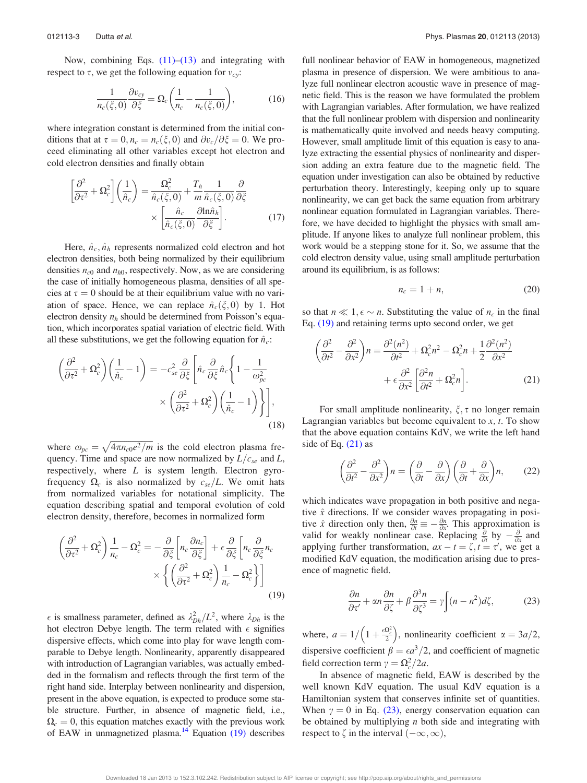Now, combining Eqs.  $(11)$ – $(13)$  and integrating with respect to  $\tau$ , we get the following equation for  $v_{cy}$ :

$$
\frac{1}{n_c(\xi,0)}\frac{\partial v_{cy}}{\partial \xi} = \Omega_c \left(\frac{1}{n_c} - \frac{1}{n_c(\xi,0)}\right),\tag{16}
$$

where integration constant is determined from the initial conditions that at  $\tau = 0$ ,  $n_c = n_c(\xi, 0)$  and  $\partial v_c/\partial \xi = 0$ . We proceed eliminating all other variables except hot electron and cold electron densities and finally obtain

$$
\left[\frac{\partial^2}{\partial \tau^2} + \Omega_c^2\right] \left(\frac{1}{\hat{n}_c}\right) = \frac{\Omega_c^2}{\hat{n}_c(\xi, 0)} + \frac{T_h}{m} \frac{1}{\hat{n}_c(\xi, 0)} \frac{\partial}{\partial \xi} \times \left[\frac{\hat{n}_c}{\hat{n}_c(\xi, 0)} \frac{\partial \ln \hat{n}_h}{\partial \xi}\right].
$$
\n(17)

Here,  $\hat{n}_c$ ,  $\hat{n}_h$  represents normalized cold electron and hot electron densities, both being normalized by their equilibrium densities  $n_{c0}$  and  $n_{h0}$ , respectively. Now, as we are considering the case of initially homogeneous plasma, densities of all species at  $\tau = 0$  should be at their equilibrium value with no variation of space. Hence, we can replace  $\hat{n}_c(\xi, 0)$  by 1. Hot electron density  $n_h$  should be determined from Poisson's equation, which incorporates spatial variation of electric field. With all these substitutions, we get the following equation for  $\hat{n}_c$ :

$$
\left(\frac{\partial^2}{\partial \tau^2} + \Omega_c^2\right) \left(\frac{1}{\hat{n}_c} - 1\right) = -c_{se}^2 \frac{\partial}{\partial \xi} \left[ \hat{n}_c \frac{\partial}{\partial \xi} \hat{n}_c \left\{ 1 - \frac{1}{\omega_{pc}^2} \right. \right. \\
\left. \times \left( \frac{\partial^2}{\partial \tau^2} + \Omega_c^2 \right) \left( \frac{1}{\hat{n}_c} - 1 \right) \right\} \right],
$$
\n(18)

where  $\omega_{pc} = \sqrt{4\pi n_{c0}e^2/m}$  is the cold electron plasma frequency. Time and space are now normalized by  $L/c_{se}$  and L, respectively, where  $L$  is system length. Electron gyrofrequency  $\Omega_c$  is also normalized by  $c_{se}/L$ . We omit hats from normalized variables for notational simplicity. The equation describing spatial and temporal evolution of cold electron density, therefore, becomes in normalized form

$$
\left(\frac{\partial^2}{\partial \tau^2} + \Omega_c^2\right) \frac{1}{n_c} - \Omega_c^2 = -\frac{\partial}{\partial \xi} \left[ n_c \frac{\partial n_c}{\partial \xi} \right] + \epsilon \frac{\partial}{\partial \xi} \left[ n_c \frac{\partial}{\partial \xi} n_c \right] \times \left\{ \left( \frac{\partial^2}{\partial \tau^2} + \Omega_c^2 \right) \frac{1}{n_c} - \Omega_c^2 \right\} \right] \tag{19}
$$

 $\epsilon$  is smallness parameter, defined as  $\lambda_{Dh}^2/L^2$ , where  $\lambda_{Dh}$  is the hot electron Debye length. The term related with  $\epsilon$  signifies dispersive effects, which come into play for wave length comparable to Debye length. Nonlinearity, apparently disappeared with introduction of Lagrangian variables, was actually embedded in the formalism and reflects through the first term of the right hand side. Interplay between nonlinearity and dispersion, present in the above equation, is expected to produce some stable structure. Further, in absence of magnetic field, i.e.,  $\Omega_c = 0$ , this equation matches exactly with the previous work of EAW in unmagnetized plasma.<sup>14</sup> Equation  $(19)$  describes full nonlinear behavior of EAW in homogeneous, magnetized plasma in presence of dispersion. We were ambitious to analyze full nonlinear electron acoustic wave in presence of magnetic field. This is the reason we have formulated the problem with Lagrangian variables. After formulation, we have realized that the full nonlinear problem with dispersion and nonlinearity is mathematically quite involved and needs heavy computing. However, small amplitude limit of this equation is easy to analyze extracting the essential physics of nonlinearity and dispersion adding an extra feature due to the magnetic field. The equation under investigation can also be obtained by reductive perturbation theory. Interestingly, keeping only up to square nonlinearity, we can get back the same equation from arbitrary nonlinear equation formulated in Lagrangian variables. Therefore, we have decided to highlight the physics with small amplitude. If anyone likes to analyze full nonlinear problem, this work would be a stepping stone for it. So, we assume that the cold electron density value, using small amplitude perturbation around its equilibrium, is as follows:

$$
n_c = 1 + n,\tag{20}
$$

so that  $n \ll 1, \epsilon \sim n$ . Substituting the value of  $n_c$  in the final Eq. (19) and retaining terms upto second order, we get

$$
\left(\frac{\partial^2}{\partial t^2} - \frac{\partial^2}{\partial x^2}\right) n = \frac{\partial^2 (n^2)}{\partial t^2} + \Omega_c^2 n^2 - \Omega_c^2 n + \frac{1}{2} \frac{\partial^2 (n^2)}{\partial x^2} + \epsilon \frac{\partial^2}{\partial x^2} \left[\frac{\partial^2 n}{\partial t^2} + \Omega_c^2 n\right].
$$
\n(21)

For small amplitude nonlinearity,  $\xi$ ,  $\tau$  no longer remain Lagrangian variables but become equivalent to  $x$ ,  $t$ . To show that the above equation contains KdV, we write the left hand side of Eq. (21) as

$$
\left(\frac{\partial^2}{\partial t^2} - \frac{\partial^2}{\partial x^2}\right) n = \left(\frac{\partial}{\partial t} - \frac{\partial}{\partial x}\right) \left(\frac{\partial}{\partial t} + \frac{\partial}{\partial x}\right) n,\tag{22}
$$

which indicates wave propagation in both positive and negative  $\hat{x}$  directions. If we consider waves propagating in positive  $\hat{x}$  direction only then,  $\frac{\partial n}{\partial t} \equiv -\frac{\partial n}{\partial x}$ . This approximation is valid for weakly nonlinear case. Replacing  $\frac{\partial}{\partial t}$  by  $-\frac{\partial}{\partial x}$  and applying further transformation,  $ax - t = \zeta$ ,  $\overline{t} = \tau'$ , we get a modified KdV equation, the modification arising due to presence of magnetic field.

$$
\frac{\partial n}{\partial \tau'} + \alpha n \frac{\partial n}{\partial \zeta} + \beta \frac{\partial^3 n}{\partial \zeta^3} = \gamma \int (n - n^2) d\zeta, \tag{23}
$$

where,  $a = 1/\left(1 + \frac{\epsilon \Omega_c^2}{2}\right)$ , nonlinearity coefficient  $\alpha = 3a/2$ , dispersive coefficient  $\beta = \epsilon a^3/2$ , and coefficient of magnetic field correction term  $\gamma = \Omega_c^2 / 2a$ .

In absence of magnetic field, EAW is described by the well known KdV equation. The usual KdV equation is a Hamiltonian system that conserves infinite set of quantities. When  $\gamma = 0$  in Eq. (23), energy conservation equation can be obtained by multiplying  $n$  both side and integrating with respect to  $\zeta$  in the interval  $(-\infty,\infty)$ ,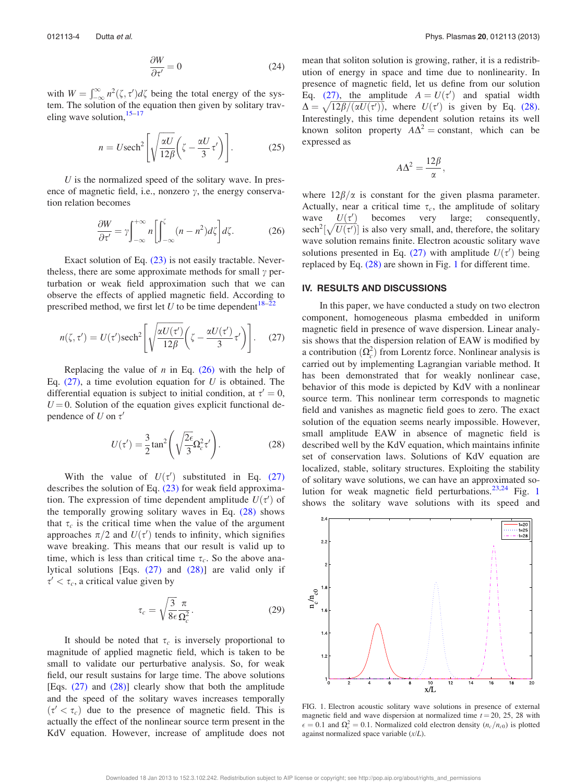$$
\frac{\partial W}{\partial t'} = 0\tag{24}
$$

with  $W = \int_{-\infty}^{\infty} n^2(\zeta, \tau') d\zeta$  being the total energy of the system. The solution of the equation then given by solitary traveling wave solution,  $15-17$ 

$$
n = U \text{sech}^2 \left[ \sqrt{\frac{\alpha U}{12\beta}} \left( \zeta - \frac{\alpha U}{3} \tau' \right) \right]. \tag{25}
$$

U is the normalized speed of the solitary wave. In presence of magnetic field, i.e., nonzero  $\gamma$ , the energy conservation relation becomes

$$
\frac{\partial W}{\partial \tau'} = \gamma \int_{-\infty}^{+\infty} n \left[ \int_{-\infty}^{\zeta} (n - n^2) d\zeta \right] d\zeta. \tag{26}
$$

Exact solution of Eq. (23) is not easily tractable. Nevertheless, there are some approximate methods for small  $\gamma$  perturbation or weak field approximation such that we can observe the effects of applied magnetic field. According to prescribed method, we first let U to be time dependent<sup>18–2</sup>

$$
n(\zeta, \tau') = U(\tau') \text{sech}^2 \left[ \sqrt{\frac{\alpha U(\tau')}{12\beta}} \left( \zeta - \frac{\alpha U(\tau')}{3} \tau' \right) \right]. \tag{27}
$$

Replacing the value of  $n$  in Eq. (26) with the help of Eq.  $(27)$ , a time evolution equation for U is obtained. The differential equation is subject to initial condition, at  $\tau' = 0$ ,  $U = 0$ . Solution of the equation gives explicit functional dependence of  $U$  on  $\tau'$ 

$$
U(\tau') = \frac{3}{2} \tan^2 \left( \sqrt{\frac{2\epsilon}{3}} \Omega_c^2 \tau' \right).
$$
 (28)

With the value of  $U(\tau')$  substituted in Eq. (27) describes the solution of Eq.  $(23)$  for weak field approximation. The expression of time dependent amplitude  $U(\tau')$  of the temporally growing solitary waves in Eq. (28) shows that  $\tau_c$  is the critical time when the value of the argument approaches  $\pi/2$  and  $U(\tau')$  tends to infinity, which signifies wave breaking. This means that our result is valid up to time, which is less than critical time  $\tau_c$ . So the above analytical solutions [Eqs.  $(27)$  and  $(28)$ ] are valid only if  $\tau' < \tau_c$ , a critical value given by

$$
\tau_c = \sqrt{\frac{3}{8\epsilon}} \frac{\pi}{\Omega_c^2}.
$$
\n(29)

It should be noted that  $\tau_c$  is inversely proportional to magnitude of applied magnetic field, which is taken to be small to validate our perturbative analysis. So, for weak field, our result sustains for large time. The above solutions [Eqs. (27) and (28)] clearly show that both the amplitude and the speed of the solitary waves increases temporally  $(\tau' < \tau_c)$  due to the presence of magnetic field. This is actually the effect of the nonlinear source term present in the KdV equation. However, increase of amplitude does not mean that soliton solution is growing, rather, it is a redistribution of energy in space and time due to nonlinearity. In presence of magnetic field, let us define from our solution Eq. (27), the amplitude  $A = U(\tau')$  and spatial width  $\Delta = \sqrt{12\beta/(\alpha U(\tau))}$ , where  $U(\tau')$  is given by Eq. (28). Interestingly, this time dependent solution retains its well known soliton property  $A\Delta^2$  = constant, which can be expressed as

$$
A\Delta^2 = \frac{12\beta}{\alpha},
$$

where  $12\beta/\alpha$  is constant for the given plasma parameter. Actually, near a critical time  $\tau_c$ , the amplitude of solitary wave  $U(\tau')$ becomes very large; consequently, sech<sup>2</sup>[ $\sqrt{U(\tau')}$ ] is also very small, and, therefore, the solitary wave solution remains finite. Electron acoustic solitary wave solutions presented in Eq. (27) with amplitude  $U(\tau')$  being replaced by Eq. (28) are shown in Fig. 1 for different time.

#### IV. RESULTS AND DISCUSSIONS

In this paper, we have conducted a study on two electron component, homogeneous plasma embedded in uniform magnetic field in presence of wave dispersion. Linear analysis shows that the dispersion relation of EAW is modified by a contribution  $(\Omega_c^2)$  from Lorentz force. Nonlinear analysis is carried out by implementing Lagrangian variable method. It has been demonstrated that for weakly nonlinear case, behavior of this mode is depicted by KdV with a nonlinear source term. This nonlinear term corresponds to magnetic field and vanishes as magnetic field goes to zero. The exact solution of the equation seems nearly impossible. However, small amplitude EAW in absence of magnetic field is described well by the KdV equation, which maintains infinite set of conservation laws. Solutions of KdV equation are localized, stable, solitary structures. Exploiting the stability of solitary wave solutions, we can have an approximated solution for weak magnetic field perturbations. $23,24$  Fig. 1 shows the solitary wave solutions with its speed and



FIG. 1. Electron acoustic solitary wave solutions in presence of external magnetic field and wave dispersion at normalized time  $t = 20, 25, 28$  with  $\epsilon = 0.1$  and  $\Omega_c^2 = 0.1$ . Normalized cold electron density  $(n_c/n_{c0})$  is plotted against normalized space variable  $(x/L)$ .